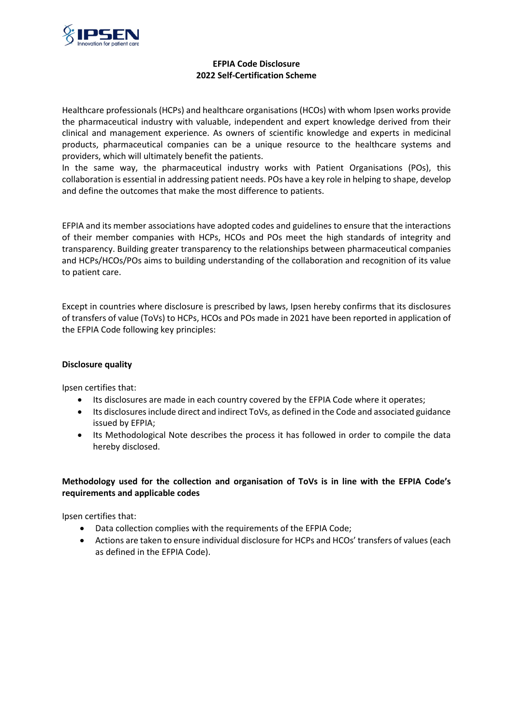

## **EFPIA Code Disclosure 2022 Self-Certification Scheme**

Healthcare professionals (HCPs) and healthcare organisations (HCOs) with whom Ipsen works provide the pharmaceutical industry with valuable, independent and expert knowledge derived from their clinical and management experience. As owners of scientific knowledge and experts in medicinal products, pharmaceutical companies can be a unique resource to the healthcare systems and providers, which will ultimately benefit the patients.

In the same way, the pharmaceutical industry works with Patient Organisations (POs), this collaboration is essential in addressing patient needs. POs have a key role in helping to shape, develop and define the outcomes that make the most difference to patients.

EFPIA and its member associations have adopted codes and guidelines to ensure that the interactions of their member companies with HCPs, HCOs and POs meet the high standards of integrity and transparency. Building greater transparency to the relationships between pharmaceutical companies and HCPs/HCOs/POs aims to building understanding of the collaboration and recognition of its value to patient care.

Except in countries where disclosure is prescribed by laws, Ipsen hereby confirms that its disclosures of transfers of value (ToVs) to HCPs, HCOs and POs made in 2021 have been reported in application of the EFPIA Code following key principles:

#### **Disclosure quality**

Ipsen certifies that:

- Its disclosures are made in each country covered by the EFPIA Code where it operates;
- Its disclosures include direct and indirect ToVs, as defined in the Code and associated guidance issued by EFPIA;
- Its Methodological Note describes the process it has followed in order to compile the data hereby disclosed.

## **Methodology used for the collection and organisation of ToVs is in line with the EFPIA Code's requirements and applicable codes**

Ipsen certifies that:

- Data collection complies with the requirements of the EFPIA Code;
- Actions are taken to ensure individual disclosure for HCPs and HCOs' transfers of values (each as defined in the EFPIA Code).